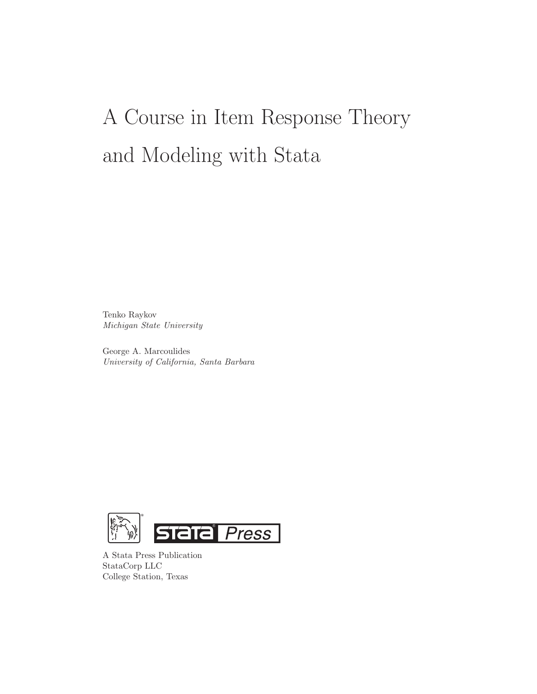# A Course in Item Response Theory and Modeling with Stata

Tenko Raykov Michigan State University

George A. Marcoulides University of California, Santa Barbara



A Stata Press Publication StataCorp LLC College Station, Texas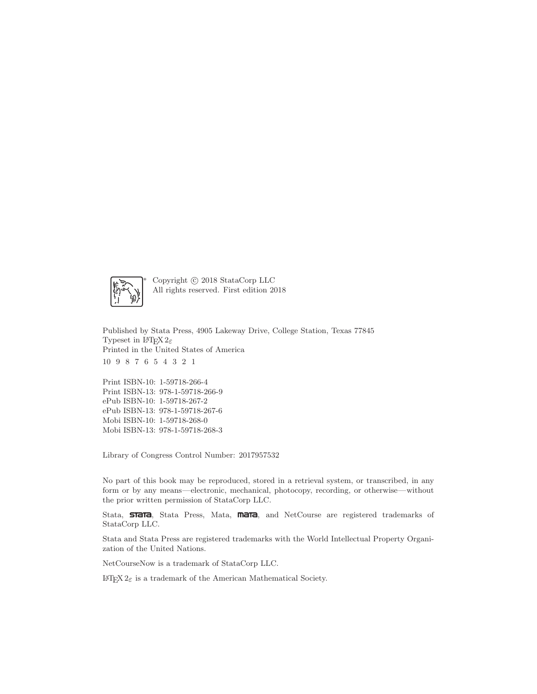

Copyright © 2018 StataCorp LLC All rights reserved. First edition 2018

Published by Stata Press, 4905 Lakeway Drive, College Station, Texas 77845 Typeset in  $\mathbb{H}\mathrm{Tr} X 2_\varepsilon$ Printed in the United States of America 10 9 8 7 6 5 4 3 2 1

Print ISBN-10: 1-59718-266-4 Print ISBN-13: 978-1-59718-266-9 ePub ISBN-10: 1-59718-267-2 ePub ISBN-13: 978-1-59718-267-6 Mobi ISBN-10: 1-59718-268-0 Mobi ISBN-13: 978-1-59718-268-3

Library of Congress Control Number: 2017957532

No part of this book may be reproduced, stored in a retrieval system, or transcribed, in any form or by any means—electronic, mechanical, photocopy, recording, or otherwise—without the prior written permission of StataCorp LLC.

Stata, **Stata**, Stata Press, Mata, **mata**, and NetCourse are registered trademarks of StataCorp LLC.

Stata and Stata Press are registered trademarks with the World Intellectual Property Organization of the United Nations.

NetCourseNow is a trademark of StataCorp LLC.

 $\mathbb{F}\to \mathbb{F}$ 2 $\varepsilon$  is a trademark of the American Mathematical Society.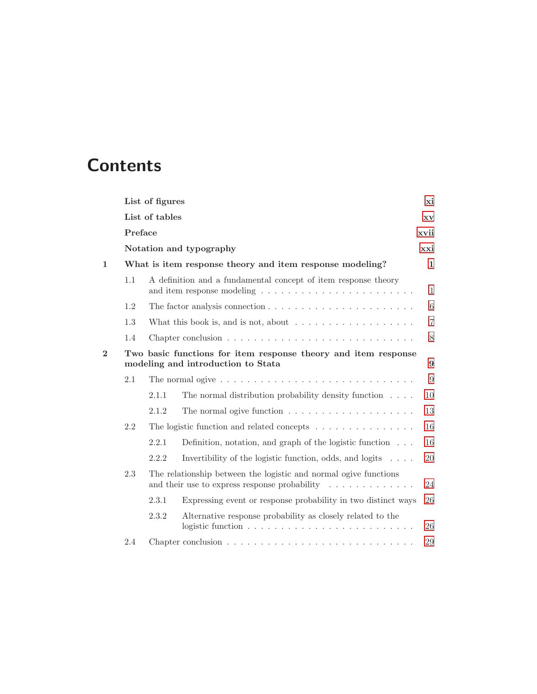# **Contents**

|                |                                                                                                      | List of figures                                                |                                                                                                                                             | xi           |  |  |  |  |  |
|----------------|------------------------------------------------------------------------------------------------------|----------------------------------------------------------------|---------------------------------------------------------------------------------------------------------------------------------------------|--------------|--|--|--|--|--|
|                | List of tables                                                                                       |                                                                |                                                                                                                                             |              |  |  |  |  |  |
|                | Preface                                                                                              |                                                                |                                                                                                                                             | xvii         |  |  |  |  |  |
|                |                                                                                                      |                                                                | Notation and typography                                                                                                                     | xxi          |  |  |  |  |  |
| 1              |                                                                                                      |                                                                | What is item response theory and item response modeling?                                                                                    | $\mathbf{1}$ |  |  |  |  |  |
|                | 1.1                                                                                                  | A definition and a fundamental concept of item response theory |                                                                                                                                             |              |  |  |  |  |  |
|                | 1.2                                                                                                  |                                                                |                                                                                                                                             | 6            |  |  |  |  |  |
|                | 1.3                                                                                                  |                                                                | $\overline{7}$<br>What this book is, and is not, about $\dots \dots \dots \dots \dots \dots$                                                |              |  |  |  |  |  |
|                | 1.4                                                                                                  |                                                                |                                                                                                                                             | 8            |  |  |  |  |  |
| $\overline{2}$ | Two basic functions for item response theory and item response<br>modeling and introduction to Stata |                                                                |                                                                                                                                             |              |  |  |  |  |  |
|                | 2.1                                                                                                  |                                                                | The normal ogive $\dots \dots \dots \dots \dots \dots \dots \dots \dots \dots \dots \dots$                                                  | 9            |  |  |  |  |  |
|                |                                                                                                      | 2.1.1                                                          | The normal distribution probability density function $\ldots$ .                                                                             | 10           |  |  |  |  |  |
|                |                                                                                                      | 2.1.2                                                          | The normal ogive function $\ldots \ldots \ldots \ldots \ldots \ldots$                                                                       | 13           |  |  |  |  |  |
|                | 2.2                                                                                                  |                                                                | The logistic function and related concepts $\dots \dots \dots \dots \dots$                                                                  | 16           |  |  |  |  |  |
|                |                                                                                                      | 2.2.1                                                          | Definition, notation, and graph of the logistic function $\ldots$                                                                           | 16           |  |  |  |  |  |
|                |                                                                                                      | 2.2.2                                                          | Invertibility of the logistic function, odds, and logits                                                                                    | 20           |  |  |  |  |  |
|                | 2.3                                                                                                  |                                                                | The relationship between the logistic and normal ogive functions<br>and their use to express response probability $\dots \dots \dots \dots$ | 24           |  |  |  |  |  |
|                |                                                                                                      | 2.3.1                                                          | Expressing event or response probability in two distinct ways                                                                               | 26           |  |  |  |  |  |
|                |                                                                                                      | 2.3.2                                                          | Alternative response probability as closely related to the                                                                                  | 26           |  |  |  |  |  |
|                | 2.4                                                                                                  |                                                                | Chapter conclusion $\ldots \ldots \ldots \ldots \ldots \ldots \ldots \ldots \ldots$                                                         | 29           |  |  |  |  |  |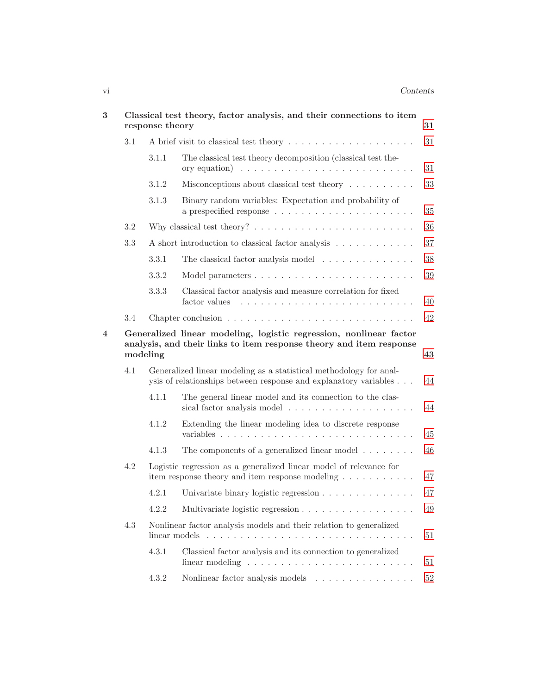| vi | Contents |
|----|----------|

|     | Classical test theory, factor analysis, and their connections to item<br>response theory |                                                                                                                                                                                                                 |          |  |  |  |
|-----|------------------------------------------------------------------------------------------|-----------------------------------------------------------------------------------------------------------------------------------------------------------------------------------------------------------------|----------|--|--|--|
| 3.1 |                                                                                          |                                                                                                                                                                                                                 | 31       |  |  |  |
|     | 3.1.1                                                                                    | The classical test theory decomposition (classical test the-<br>ory equation) $\ldots \ldots \ldots \ldots \ldots \ldots \ldots \ldots$                                                                         | 31       |  |  |  |
|     | 3.1.2                                                                                    | Misconceptions about classical test theory                                                                                                                                                                      | 33       |  |  |  |
|     | 3.1.3                                                                                    | Binary random variables: Expectation and probability of                                                                                                                                                         | 35       |  |  |  |
| 3.2 |                                                                                          | Why classical test theory? $\ldots \ldots \ldots \ldots \ldots \ldots \ldots \ldots$                                                                                                                            | 36       |  |  |  |
| 3.3 |                                                                                          | A short introduction to classical factor analysis                                                                                                                                                               | 37       |  |  |  |
|     | 3.3.1                                                                                    | The classical factor analysis model                                                                                                                                                                             | 38       |  |  |  |
|     | 3.3.2                                                                                    |                                                                                                                                                                                                                 | 39       |  |  |  |
|     | 3.3.3                                                                                    | Classical factor analysis and measure correlation for fixed<br>factor values                                                                                                                                    | 40       |  |  |  |
| 3.4 |                                                                                          |                                                                                                                                                                                                                 | 42       |  |  |  |
|     |                                                                                          |                                                                                                                                                                                                                 |          |  |  |  |
| 4.1 | modeling                                                                                 | Generalized linear modeling, logistic regression, nonlinear factor<br>analysis, and their links to item response theory and item response<br>Generalized linear modeling as a statistical methodology for anal- | 43       |  |  |  |
|     | 4.1.1                                                                                    | ysis of relationships between response and explanatory variables<br>The general linear model and its connection to the clas-                                                                                    | 44<br>44 |  |  |  |
|     | 4.1.2                                                                                    | Extending the linear modeling idea to discrete response                                                                                                                                                         | 45       |  |  |  |
|     | 4.1.3                                                                                    | The components of a generalized linear model $\ldots \ldots$                                                                                                                                                    | 46       |  |  |  |
| 4.2 |                                                                                          | Logistic regression as a generalized linear model of relevance for<br>item response theory and item response modeling $\dots \dots \dots$                                                                       | 47       |  |  |  |
|     | 4.2.1                                                                                    | Univariate binary logistic regression                                                                                                                                                                           | 47       |  |  |  |
|     | 4.2.2                                                                                    | Multivariate logistic regression                                                                                                                                                                                | 49       |  |  |  |
| 4.3 | linear models                                                                            | Nonlinear factor analysis models and their relation to generalized<br>and a share and a                                                                                                                         | 51       |  |  |  |
|     | 4.3.1                                                                                    | Classical factor analysis and its connection to generalized<br>linear modeling $\dots \dots \dots \dots \dots \dots \dots \dots \dots \dots$                                                                    | 51       |  |  |  |
|     | 4.3.2                                                                                    | Nonlinear factor analysis models                                                                                                                                                                                | 52       |  |  |  |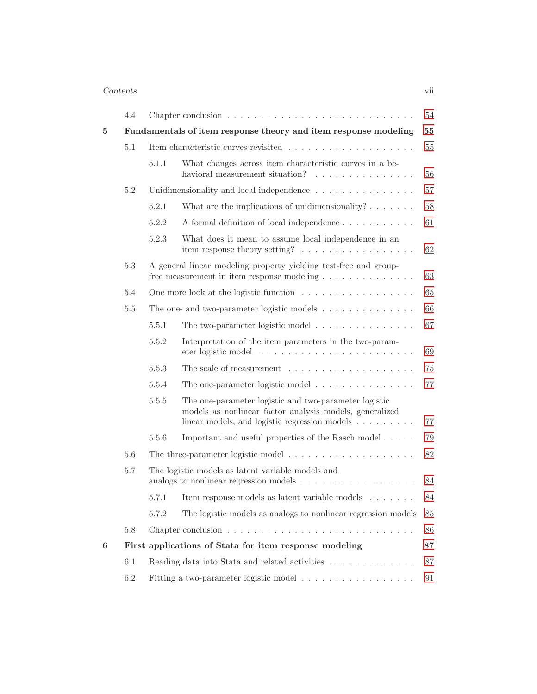#### Contents vii

|                                               | 4.4     |       | Chapter conclusion $\ldots \ldots \ldots \ldots \ldots \ldots \ldots \ldots \ldots \ldots$                                                                                               | 54 |  |  |  |
|-----------------------------------------------|---------|-------|------------------------------------------------------------------------------------------------------------------------------------------------------------------------------------------|----|--|--|--|
| $\bf{5}$                                      |         |       | Fundamentals of item response theory and item response modeling                                                                                                                          | 55 |  |  |  |
|                                               | 5.1     |       |                                                                                                                                                                                          | 55 |  |  |  |
|                                               |         | 5.1.1 | What changes across item characteristic curves in a be-<br>havioral measurement situation?<br>.                                                                                          | 56 |  |  |  |
|                                               | 5.2     |       | Unidimensionality and local independence<br>57                                                                                                                                           |    |  |  |  |
|                                               |         | 5.2.1 | What are the implications of unidimensionality? $\ldots \ldots$                                                                                                                          | 58 |  |  |  |
|                                               |         | 5.2.2 | A formal definition of local independence                                                                                                                                                | 61 |  |  |  |
|                                               |         | 5.2.3 | What does it mean to assume local independence in an<br>item response theory setting? $\dots \dots \dots \dots \dots \dots$                                                              | 62 |  |  |  |
|                                               | $5.3\,$ |       | A general linear modeling property yielding test-free and group-<br>free measurement in item response modeling                                                                           | 63 |  |  |  |
|                                               | 5.4     |       | One more look at the logistic function $\ldots \ldots \ldots \ldots \ldots$                                                                                                              | 65 |  |  |  |
|                                               | 5.5     |       | The one- and two-parameter logistic models $\dots \dots \dots \dots$                                                                                                                     | 66 |  |  |  |
|                                               |         | 5.5.1 | The two-parameter logistic model $\ldots \ldots \ldots \ldots \ldots$                                                                                                                    | 67 |  |  |  |
|                                               |         | 5.5.2 | Interpretation of the item parameters in the two-param-                                                                                                                                  | 69 |  |  |  |
|                                               |         | 5.5.3 |                                                                                                                                                                                          | 75 |  |  |  |
|                                               |         | 5.5.4 | The one-parameter logistic model $\ldots \ldots \ldots \ldots \ldots$                                                                                                                    | 77 |  |  |  |
|                                               |         | 5.5.5 | The one-parameter logistic and two-parameter logistic<br>models as nonlinear factor analysis models, generalized<br>linear models, and logistic regression models $\ldots \ldots \ldots$ | 77 |  |  |  |
|                                               |         | 5.5.6 | Important and useful properties of the Rasch model                                                                                                                                       | 79 |  |  |  |
|                                               | 5.6     |       | The three-parameter logistic model $\dots \dots \dots \dots \dots \dots \dots$                                                                                                           | 82 |  |  |  |
|                                               | $5.7\,$ |       | The logistic models as latent variable models and<br>analogs to nonlinear regression models                                                                                              | 84 |  |  |  |
|                                               |         | 5.7.1 | Item response models as latent variable models                                                                                                                                           | 84 |  |  |  |
|                                               |         | 5.7.2 | The logistic models as analogs to nonlinear regression models                                                                                                                            | 85 |  |  |  |
|                                               | $5.8\,$ |       | Chapter conclusion $\ldots \ldots \ldots \ldots \ldots \ldots \ldots \ldots \ldots$                                                                                                      | 86 |  |  |  |
| 6                                             |         |       | First applications of Stata for item response modeling                                                                                                                                   | 87 |  |  |  |
|                                               | 6.1     |       | Reading data into Stata and related activities                                                                                                                                           | 87 |  |  |  |
| 6.2<br>Fitting a two-parameter logistic model |         |       |                                                                                                                                                                                          |    |  |  |  |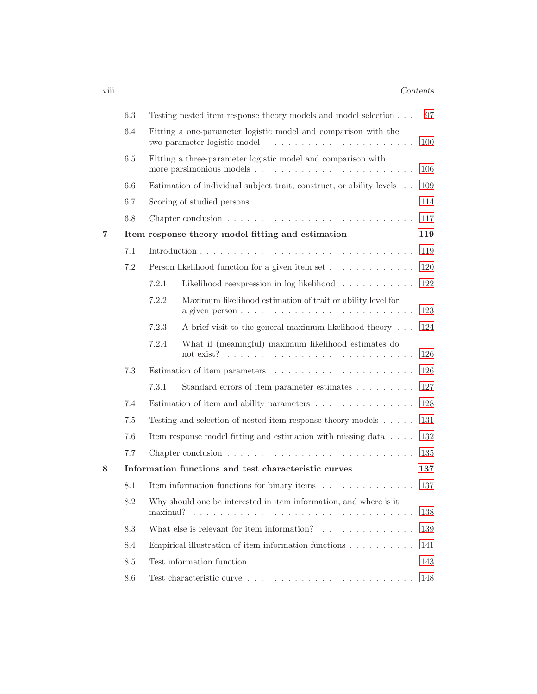|   | 6.3     |                                                                                      | Testing nested item response theory models and model selection                                                                             | 97  |  |  |  |  |
|---|---------|--------------------------------------------------------------------------------------|--------------------------------------------------------------------------------------------------------------------------------------------|-----|--|--|--|--|
|   | 6.4     |                                                                                      | Fitting a one-parameter logistic model and comparison with the<br>two-parameter logistic model $\dots \dots \dots \dots \dots \dots \dots$ | 100 |  |  |  |  |
|   | $6.5\,$ |                                                                                      | Fitting a three-parameter logistic model and comparison with                                                                               | 106 |  |  |  |  |
|   | 6.6     |                                                                                      | Estimation of individual subject trait, construct, or ability levels                                                                       | 109 |  |  |  |  |
|   | 6.7     |                                                                                      | Scoring of studied persons $\ldots \ldots \ldots \ldots \ldots \ldots \ldots \ldots$                                                       | 114 |  |  |  |  |
|   | 6.8     |                                                                                      | Chapter conclusion $\ldots \ldots \ldots \ldots \ldots \ldots \ldots \ldots \ldots$                                                        | 117 |  |  |  |  |
| 7 |         |                                                                                      | Item response theory model fitting and estimation                                                                                          | 119 |  |  |  |  |
|   | 7.1     |                                                                                      |                                                                                                                                            | 119 |  |  |  |  |
|   | 7.2     |                                                                                      | Person likelihood function for a given item set $\dots \dots \dots \dots$                                                                  | 120 |  |  |  |  |
|   |         | 7.2.1                                                                                | Likelihood reexpression in log likelihood                                                                                                  | 122 |  |  |  |  |
|   |         | 7.2.2                                                                                | Maximum likelihood estimation of trait or ability level for<br>a given person                                                              | 123 |  |  |  |  |
|   |         | 7.2.3                                                                                | A brief visit to the general maximum likelihood theory $\ldots$                                                                            | 124 |  |  |  |  |
|   |         | 7.2.4                                                                                | What if (meaningful) maximum likelihood estimates do                                                                                       | 126 |  |  |  |  |
|   | 7.3     |                                                                                      |                                                                                                                                            | 126 |  |  |  |  |
|   |         | 7.3.1                                                                                | Standard errors of item parameter estimates                                                                                                | 127 |  |  |  |  |
|   | 7.4     |                                                                                      | Estimation of item and ability parameters                                                                                                  | 128 |  |  |  |  |
|   | 7.5     | Testing and selection of nested item response theory models $\dots$ .<br>131         |                                                                                                                                            |     |  |  |  |  |
|   | 7.6     | Item response model fitting and estimation with missing data<br>132                  |                                                                                                                                            |     |  |  |  |  |
|   | 7.7     | 135                                                                                  |                                                                                                                                            |     |  |  |  |  |
| 8 |         |                                                                                      | Information functions and test characteristic curves                                                                                       | 137 |  |  |  |  |
|   | 8.1     | Item information functions for binary items $\dots \dots \dots \dots$<br>137         |                                                                                                                                            |     |  |  |  |  |
|   | 8.2     | Why should one be interested in item information, and where is it<br>maximal?<br>138 |                                                                                                                                            |     |  |  |  |  |
|   | 8.3     | What else is relevant for item information? $\ldots \ldots \ldots \ldots$<br>139     |                                                                                                                                            |     |  |  |  |  |
|   | 8.4     |                                                                                      | Empirical illustration of item information functions $\ldots \ldots \ldots$                                                                | 141 |  |  |  |  |
|   | 8.5     |                                                                                      |                                                                                                                                            | 143 |  |  |  |  |
|   | 8.6     | 148                                                                                  |                                                                                                                                            |     |  |  |  |  |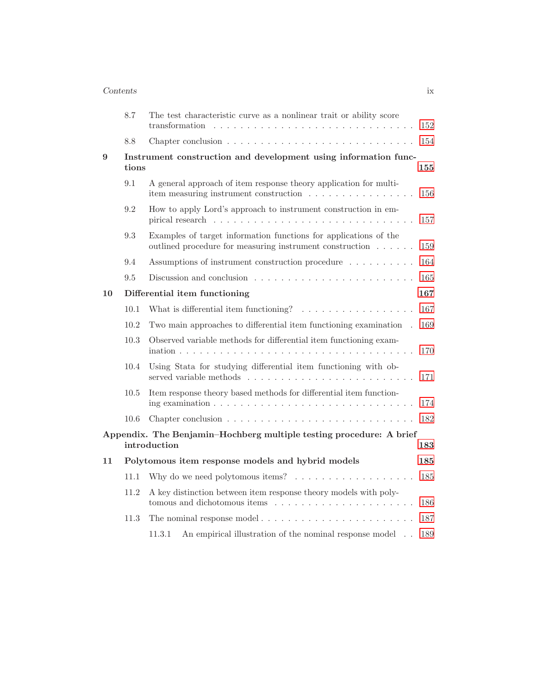#### Contents ix

|    | 8.7   | The test characteristic curve as a nonlinear trait or ability score<br>transformation<br>and the state of the state of the state<br>and and                                                                                                                                                      | 152     |
|----|-------|--------------------------------------------------------------------------------------------------------------------------------------------------------------------------------------------------------------------------------------------------------------------------------------------------|---------|
|    | 8.8   |                                                                                                                                                                                                                                                                                                  | 154     |
| 9  | tions | Instrument construction and development using information func-                                                                                                                                                                                                                                  | 155     |
|    | 9.1   | A general approach of item response theory application for multi-<br>item measuring instrument construction                                                                                                                                                                                      | 156     |
|    | 9.2   | How to apply Lord's approach to instrument construction in em-<br>pirical research in the contract of the contract of the contract of the contract of the contract of the contract of the contract of the contract of the contract of the contract of the contract of the contract of the contra | 157     |
|    | 9.3   | Examples of target information functions for applications of the<br>outlined procedure for measuring instrument construction                                                                                                                                                                     | 159     |
|    | 9.4   | Assumptions of instrument construction procedure                                                                                                                                                                                                                                                 | 164     |
|    | 9.5   |                                                                                                                                                                                                                                                                                                  | 165     |
| 10 |       | Differential item functioning                                                                                                                                                                                                                                                                    | 167     |
|    | 10.1  | What is differential item functioning? $\ldots \ldots \ldots \ldots \ldots$                                                                                                                                                                                                                      | 167     |
|    | 10.2  | Two main approaches to differential item functioning examination                                                                                                                                                                                                                                 | 169     |
|    | 10.3  | Observed variable methods for differential item functioning exam-                                                                                                                                                                                                                                | 170     |
|    | 10.4  | Using Stata for studying differential item functioning with ob-<br>served variable methods                                                                                                                                                                                                       | 171     |
|    | 10.5  | Item response theory based methods for differential item function-<br>ing examination $\ldots \ldots \ldots \ldots \ldots \ldots \ldots \ldots \ldots$                                                                                                                                           | 174     |
|    | 10.6  |                                                                                                                                                                                                                                                                                                  | 182     |
|    |       | Appendix. The Benjamin-Hochberg multiple testing procedure: A brief                                                                                                                                                                                                                              |         |
|    |       | introduction                                                                                                                                                                                                                                                                                     | $183\,$ |
| 11 |       | Polytomous item response models and hybrid models                                                                                                                                                                                                                                                | 185     |
|    | 11.1  | Why do we need polytomous items? $\ldots \ldots \ldots \ldots \ldots \ldots$                                                                                                                                                                                                                     | 185     |
|    | 11.2  | A key distinction between item response theory models with poly-                                                                                                                                                                                                                                 | 186     |
|    | 11.3  |                                                                                                                                                                                                                                                                                                  | 187     |
|    |       | An empirical illustration of the nominal response model<br>$\phantom{a}$ .<br>.<br>11.3.1                                                                                                                                                                                                        | 189     |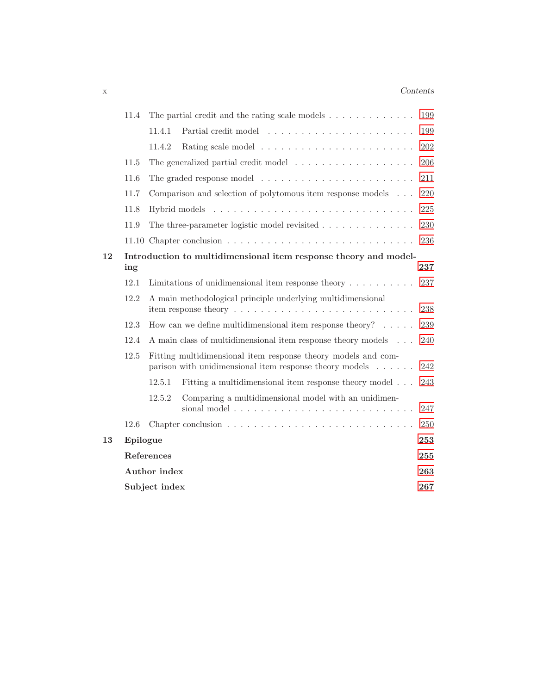### x Contents

|    | 11.4                 |                                                                                                                                                    | The partial credit and the rating scale models $\ldots \ldots \ldots \ldots$ | 199 |  |  |
|----|----------------------|----------------------------------------------------------------------------------------------------------------------------------------------------|------------------------------------------------------------------------------|-----|--|--|
|    |                      | 11.4.1                                                                                                                                             |                                                                              | 199 |  |  |
|    |                      | 11.4.2                                                                                                                                             |                                                                              | 202 |  |  |
|    | 11.5                 |                                                                                                                                                    | The generalized partial credit model $\dots \dots \dots \dots \dots \dots$   | 206 |  |  |
|    | 11.6                 |                                                                                                                                                    |                                                                              | 211 |  |  |
|    | 11.7                 |                                                                                                                                                    | Comparison and selection of polytomous item response models                  | 220 |  |  |
|    | 11.8                 |                                                                                                                                                    |                                                                              | 225 |  |  |
|    | 11.9                 |                                                                                                                                                    | The three-parameter logistic model revisited $\ldots \ldots \ldots \ldots$   | 230 |  |  |
|    |                      |                                                                                                                                                    |                                                                              | 236 |  |  |
| 12 |                      |                                                                                                                                                    | Introduction to multidimensional item response theory and model-             |     |  |  |
|    | ing                  |                                                                                                                                                    |                                                                              | 237 |  |  |
|    | 12.1                 |                                                                                                                                                    | Limitations of unidimensional item response theory $\dots \dots \dots$       | 237 |  |  |
|    | 12.2                 | A main methodological principle underlying multidimensional<br>238<br>item response theory $\dots \dots \dots \dots \dots \dots \dots \dots \dots$ |                                                                              |     |  |  |
|    | 12.3                 | How can we define multidimensional item response theory? $\dots$ .                                                                                 |                                                                              |     |  |  |
|    | 12.4                 | A main class of multidimensional item response theory models                                                                                       |                                                                              |     |  |  |
|    | 12.5                 | Fitting multidimensional item response theory models and com-<br>parison with unidimensional item response theory models $\dots \dots$<br>242      |                                                                              |     |  |  |
|    |                      | 12.5.1                                                                                                                                             | Fitting a multidimensional item response theory model                        | 243 |  |  |
|    |                      | 12.5.2                                                                                                                                             | Comparing a multidimensional model with an unidimen-                         | 247 |  |  |
|    | 12.6                 |                                                                                                                                                    |                                                                              | 250 |  |  |
| 13 | Epilogue             |                                                                                                                                                    |                                                                              | 253 |  |  |
|    | References           |                                                                                                                                                    |                                                                              |     |  |  |
|    | Author index<br>263  |                                                                                                                                                    |                                                                              |     |  |  |
|    | Subject index<br>267 |                                                                                                                                                    |                                                                              |     |  |  |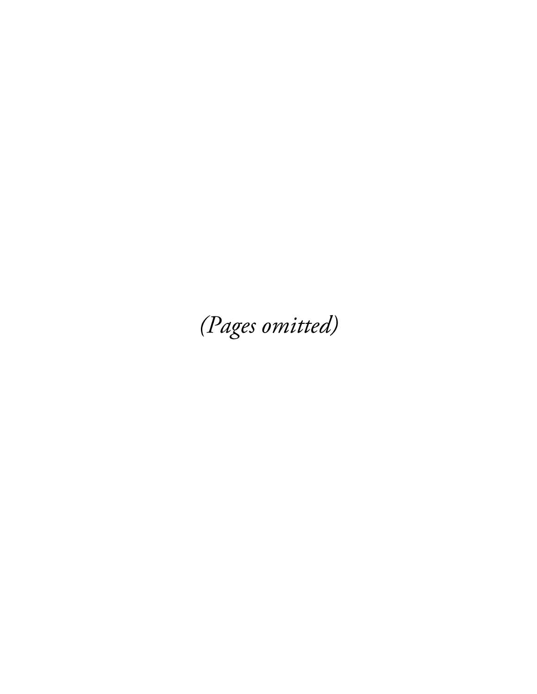(Pages omitted)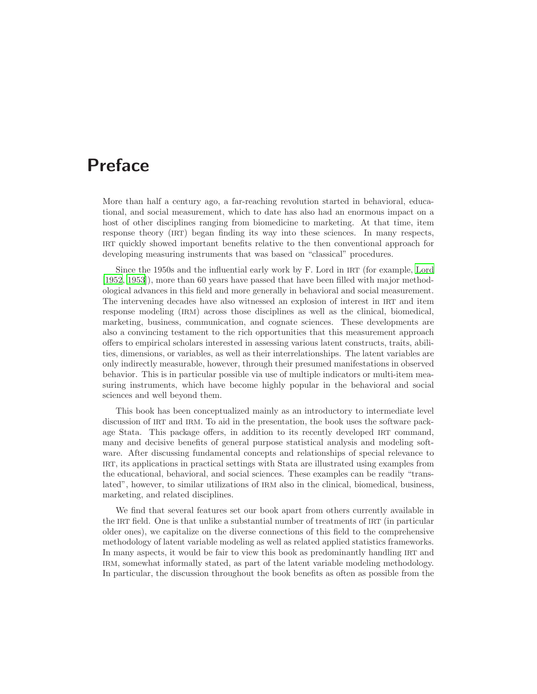# Preface

More than half a century ago, a far-reaching revolution started in behavioral, educational, and social measurement, which to date has also had an enormous impact on a host of other disciplines ranging from biomedicine to marketing. At that time, item response theory (IRT) began finding its way into these sciences. In many respects, IRT quickly showed important benefits relative to the then conventional approach for developing measuring instruments that was based on "classical" procedures.

Since the 1950s and the influential early work by F. Lord in IRT (for example, Lord [1952, 1953]), more than 60 years have passed that have been filled with major methodological advances in this field and more generally in behavioral and social measurement. The intervening decades have also witnessed an explosion of interest in IRT and item response modeling (IRM) across those disciplines as well as the clinical, biomedical, marketing, business, communication, and cognate sciences. These developments are also a convincing testament to the rich opportunities that this measurement approach offers to empirical scholars interested in assessing various latent constructs, traits, abilities, dimensions, or variables, as well as their interrelationships. The latent variables are only indirectly measurable, however, through their presumed manifestations in observed behavior. This is in particular possible via use of multiple indicators or multi-item measuring instruments, which have become highly popular in the behavioral and social sciences and well beyond them.

This book has been conceptualized mainly as an introductory to intermediate level discussion of IRT and IRM. To aid in the presentation, the book uses the software package Stata. This package offers, in addition to its recently developed IRT command, many and decisive benefits of general purpose statistical analysis and modeling software. After discussing fundamental concepts and relationships of special relevance to IRT, its applications in practical settings with Stata are illustrated using examples from the educational, behavioral, and social sciences. These examples can be readily "translated", however, to similar utilizations of IRM also in the clinical, biomedical, business, marketing, and related disciplines.

We find that several features set our book apart from others currently available in the IRT field. One is that unlike a substantial number of treatments of IRT (in particular older ones), we capitalize on the diverse connections of this field to the comprehensive methodology of latent variable modeling as well as related applied statistics frameworks. In many aspects, it would be fair to view this book as predominantly handling IRT and IRM, somewhat informally stated, as part of the latent variable modeling methodology. In particular, the discussion throughout the book benefits as often as possible from the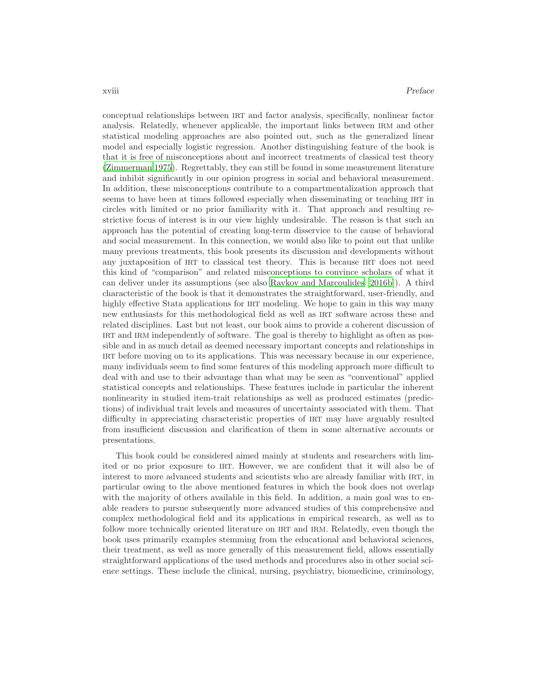conceptual relationships between IRT and factor analysis, specifically, nonlinear factor analysis. Relatedly, whenever applicable, the important links between IRM and other statistical modeling approaches are also pointed out, such as the generalized linear model and especially logistic regression. Another distinguishing feature of the book is that it is free of misconceptions about and incorrect treatments of classical test theory (Zimmerman 1975). Regrettably, they can still be found in some measurement literature and inhibit significantly in our opinion progress in social and behavioral measurement. In addition, these misconceptions contribute to a compartmentalization approach that seems to have been at times followed especially when disseminating or teaching IRT in circles with limited or no prior familiarity with it. That approach and resulting restrictive focus of interest is in our view highly undesirable. The reason is that such an approach has the potential of creating long-term disservice to the cause of behavioral and social measurement. In this connection, we would also like to point out that unlike many previous treatments, this book presents its discussion and developments without any juxtaposition of IRT to classical test theory. This is because IRT does not need this kind of "comparison" and related misconceptions to convince scholars of what it can deliver under its assumptions (see also Raykov and Marcoulides [2016b]). A third characteristic of the book is that it demonstrates the straightforward, user-friendly, and highly effective Stata applications for IRT modeling. We hope to gain in this way many new enthusiasts for this methodological field as well as IRT software across these and related disciplines. Last but not least, our book aims to provide a coherent discussion of IRT and IRM independently of software. The goal is thereby to highlight as often as possible and in as much detail as deemed necessary important concepts and relationships in IRT before moving on to its applications. This was necessary because in our experience, many individuals seem to find some features of this modeling approach more difficult to deal with and use to their advantage than what may be seen as "conventional" applied statistical concepts and relationships. These features include in particular the inherent nonlinearity in studied item-trait relationships as well as produced estimates (predictions) of individual trait levels and measures of uncertainty associated with them. That difficulty in appreciating characteristic properties of IRT may have arguably resulted from insufficient discussion and clarification of them in some alternative accounts or presentations.

This book could be considered aimed mainly at students and researchers with limited or no prior exposure to IRT. However, we are confident that it will also be of interest to more advanced students and scientists who are already familiar with IRT, in particular owing to the above mentioned features in which the book does not overlap with the majority of others available in this field. In addition, a main goal was to enable readers to pursue subsequently more advanced studies of this comprehensive and complex methodological field and its applications in empirical research, as well as to follow more technically oriented literature on IRT and IRM. Relatedly, even though the book uses primarily examples stemming from the educational and behavioral sciences, their treatment, as well as more generally of this measurement field, allows essentially straightforward applications of the used methods and procedures also in other social science settings. These include the clinical, nursing, psychiatry, biomedicine, criminology,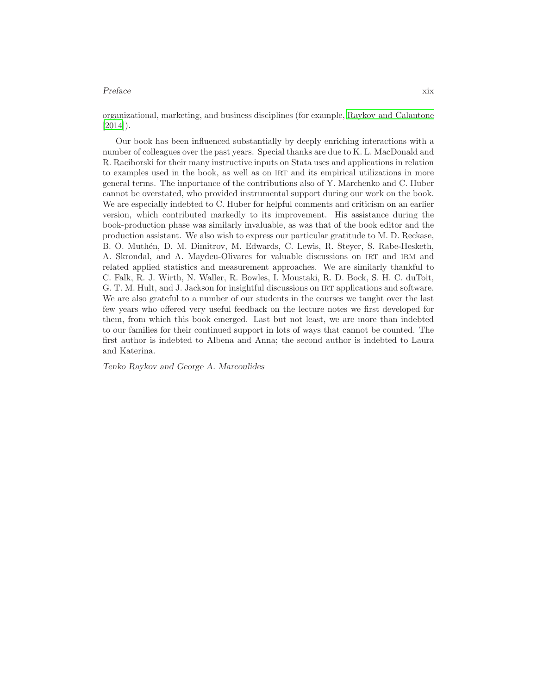#### Preface xix

organizational, marketing, and business disciplines (for example, Raykov and Calantone [2014]).

Our book has been influenced substantially by deeply enriching interactions with a number of colleagues over the past years. Special thanks are due to K. L. MacDonald and R. Raciborski for their many instructive inputs on Stata uses and applications in relation to examples used in the book, as well as on IRT and its empirical utilizations in more general terms. The importance of the contributions also of Y. Marchenko and C. Huber cannot be overstated, who provided instrumental support during our work on the book. We are especially indebted to C. Huber for helpful comments and criticism on an earlier version, which contributed markedly to its improvement. His assistance during the book-production phase was similarly invaluable, as was that of the book editor and the production assistant. We also wish to express our particular gratitude to M. D. Reckase, B. O. Muthén, D. M. Dimitrov, M. Edwards, C. Lewis, R. Steyer, S. Rabe-Hesketh, A. Skrondal, and A. Maydeu-Olivares for valuable discussions on IRT and IRM and related applied statistics and measurement approaches. We are similarly thankful to C. Falk, R. J. Wirth, N. Waller, R. Bowles, I. Moustaki, R. D. Bock, S. H. C. duToit, G. T. M. Hult, and J. Jackson for insightful discussions on IRT applications and software. We are also grateful to a number of our students in the courses we taught over the last few years who offered very useful feedback on the lecture notes we first developed for them, from which this book emerged. Last but not least, we are more than indebted to our families for their continued support in lots of ways that cannot be counted. The first author is indebted to Albena and Anna; the second author is indebted to Laura and Katerina.

Tenko Raykov and George A. Marcoulides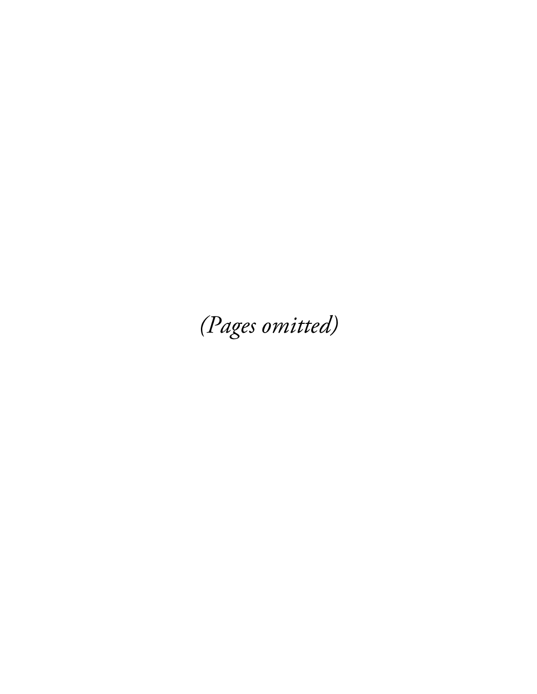(Pages omitted)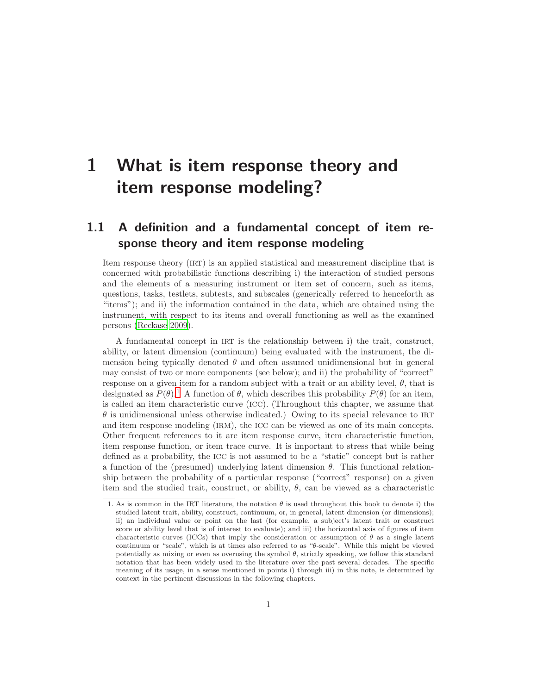# 1 What is item response theory and item response modeling?

# 1.1 A definition and a fundamental concept of item response theory and item response modeling

Item response theory (IRT) is an applied statistical and measurement discipline that is concerned with probabilistic functions describing i) the interaction of studied persons and the elements of a measuring instrument or item set of concern, such as items, questions, tasks, testlets, subtests, and subscales (generically referred to henceforth as "items"); and ii) the information contained in the data, which are obtained using the instrument, with respect to its items and overall functioning as well as the examined persons (Reckase 2009).

A fundamental concept in IRT is the relationship between i) the trait, construct, ability, or latent dimension (continuum) being evaluated with the instrument, the dimension being typically denoted  $\theta$  and often assumed unidimensional but in general may consist of two or more components (see below); and ii) the probability of "correct" response on a given item for a random subject with a trait or an ability level,  $\theta$ , that is designated as  $P(\theta)$ .<sup>1</sup> A function of  $\theta$ , which describes this probability  $P(\theta)$  for an item, is called an item characteristic curve (ICC). (Throughout this chapter, we assume that  $\theta$  is unidimensional unless otherwise indicated.) Owing to its special relevance to IRT and item response modeling (IRM), the ICC can be viewed as one of its main concepts. Other frequent references to it are item response curve, item characteristic function, item response function, or item trace curve. It is important to stress that while being defined as a probability, the ICC is not assumed to be a "static" concept but is rather a function of the (presumed) underlying latent dimension  $\theta$ . This functional relationship between the probability of a particular response ("correct" response) on a given item and the studied trait, construct, or ability,  $\theta$ , can be viewed as a characteristic

<sup>1.</sup> As is common in the IRT literature, the notation  $\theta$  is used throughout this book to denote i) the studied latent trait, ability, construct, continuum, or, in general, latent dimension (or dimensions); ii) an individual value or point on the last (for example, a subject's latent trait or construct score or ability level that is of interest to evaluate); and iii) the horizontal axis of figures of item characteristic curves (ICCs) that imply the consideration or assumption of  $\theta$  as a single latent continuum or "scale", which is at times also referred to as "θ-scale". While this might be viewed potentially as mixing or even as overusing the symbol  $\theta$ , strictly speaking, we follow this standard notation that has been widely used in the literature over the past several decades. The specific meaning of its usage, in a sense mentioned in points i) through iii) in this note, is determined by context in the pertinent discussions in the following chapters.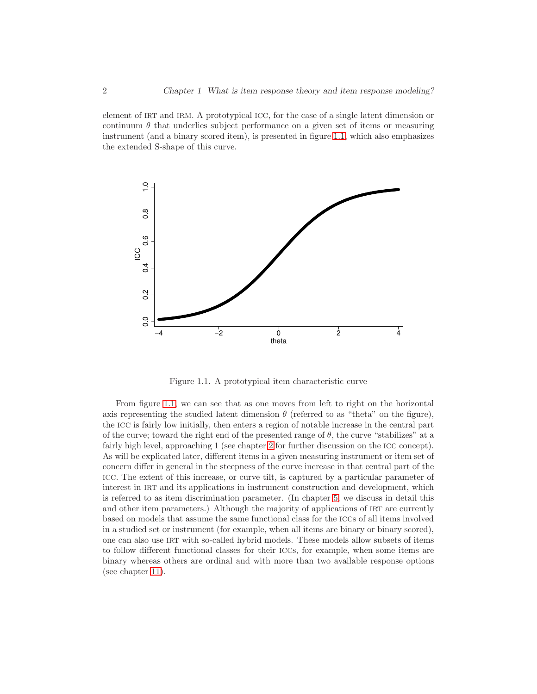element of IRT and IRM. A prototypical ICC, for the case of a single latent dimension or continuum  $\theta$  that underlies subject performance on a given set of items or measuring instrument (and a binary scored item), is presented in figure 1.1, which also emphasizes the extended S-shape of this curve.



Figure 1.1. A prototypical item characteristic curve

From figure 1.1, we can see that as one moves from left to right on the horizontal axis representing the studied latent dimension  $\theta$  (referred to as "theta" on the figure), the ICC is fairly low initially, then enters a region of notable increase in the central part of the curve; toward the right end of the presented range of  $\theta$ , the curve "stabilizes" at a fairly high level, approaching 1 (see chapter 2 for further discussion on the ICC concept). As will be explicated later, different items in a given measuring instrument or item set of concern differ in general in the steepness of the curve increase in that central part of the ICC. The extent of this increase, or curve tilt, is captured by a particular parameter of interest in IRT and its applications in instrument construction and development, which is referred to as item discrimination parameter. (In chapter 5, we discuss in detail this and other item parameters.) Although the majority of applications of IRT are currently based on models that assume the same functional class for the ICCs of all items involved in a studied set or instrument (for example, when all items are binary or binary scored), one can also use IRT with so-called hybrid models. These models allow subsets of items to follow different functional classes for their ICCs, for example, when some items are binary whereas others are ordinal and with more than two available response options (see chapter 11).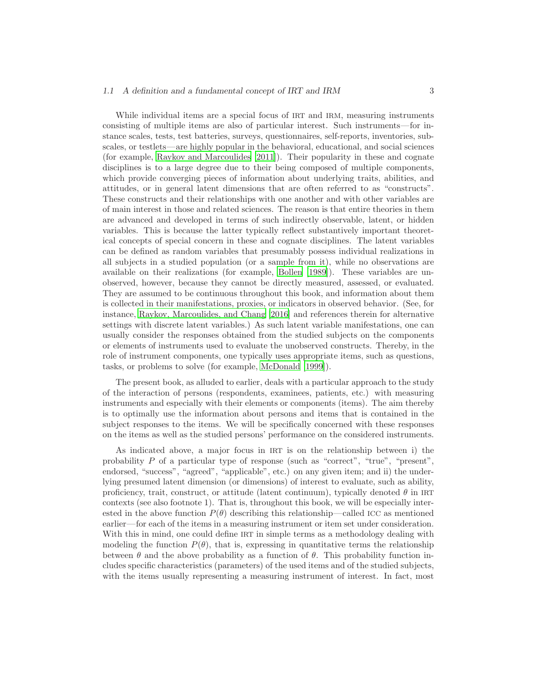#### 1.1 A definition and a fundamental concept of IRT and IRM 3

While individual items are a special focus of IRT and IRM, measuring instruments consisting of multiple items are also of particular interest. Such instruments—for instance scales, tests, test batteries, surveys, questionnaires, self-reports, inventories, subscales, or testlets—are highly popular in the behavioral, educational, and social sciences (for example, Raykov and Marcoulides [2011]). Their popularity in these and cognate disciplines is to a large degree due to their being composed of multiple components, which provide converging pieces of information about underlying traits, abilities, and attitudes, or in general latent dimensions that are often referred to as "constructs". These constructs and their relationships with one another and with other variables are of main interest in those and related sciences. The reason is that entire theories in them are advanced and developed in terms of such indirectly observable, latent, or hidden variables. This is because the latter typically reflect substantively important theoretical concepts of special concern in these and cognate disciplines. The latent variables can be defined as random variables that presumably possess individual realizations in all subjects in a studied population (or a sample from it), while no observations are available on their realizations (for example, Bollen [1989]). These variables are unobserved, however, because they cannot be directly measured, assessed, or evaluated. They are assumed to be continuous throughout this book, and information about them is collected in their manifestations, proxies, or indicators in observed behavior. (See, for instance, Raykov, Marcoulides, and Chang [2016] and references therein for alternative settings with discrete latent variables.) As such latent variable manifestations, one can usually consider the responses obtained from the studied subjects on the components or elements of instruments used to evaluate the unobserved constructs. Thereby, in the role of instrument components, one typically uses appropriate items, such as questions, tasks, or problems to solve (for example, McDonald [1999]).

The present book, as alluded to earlier, deals with a particular approach to the study of the interaction of persons (respondents, examinees, patients, etc.) with measuring instruments and especially with their elements or components (items). The aim thereby is to optimally use the information about persons and items that is contained in the subject responses to the items. We will be specifically concerned with these responses on the items as well as the studied persons' performance on the considered instruments.

As indicated above, a major focus in IRT is on the relationship between i) the probability P of a particular type of response (such as "correct", "true", "present", endorsed, "success", "agreed", "applicable", etc.) on any given item; and ii) the underlying presumed latent dimension (or dimensions) of interest to evaluate, such as ability, proficiency, trait, construct, or attitude (latent continuum), typically denoted  $\theta$  in IRT contexts (see also footnote 1). That is, throughout this book, we will be especially interested in the above function  $P(\theta)$  describing this relationship—called ICC as mentioned earlier—for each of the items in a measuring instrument or item set under consideration. With this in mind, one could define IRT in simple terms as a methodology dealing with modeling the function  $P(\theta)$ , that is, expressing in quantitative terms the relationship between  $\theta$  and the above probability as a function of  $\theta$ . This probability function includes specific characteristics (parameters) of the used items and of the studied subjects, with the items usually representing a measuring instrument of interest. In fact, most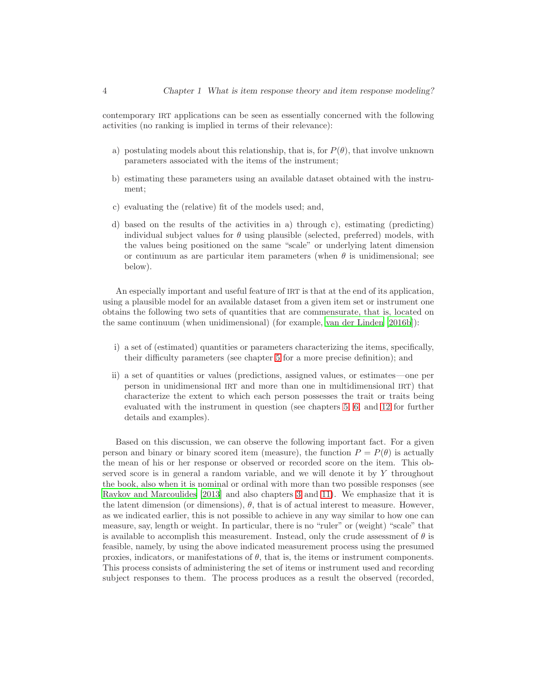contemporary IRT applications can be seen as essentially concerned with the following activities (no ranking is implied in terms of their relevance):

- a) postulating models about this relationship, that is, for  $P(\theta)$ , that involve unknown parameters associated with the items of the instrument;
- b) estimating these parameters using an available dataset obtained with the instrument;
- c) evaluating the (relative) fit of the models used; and,
- d) based on the results of the activities in a) through c), estimating (predicting) individual subject values for  $\theta$  using plausible (selected, preferred) models, with the values being positioned on the same "scale" or underlying latent dimension or continuum as are particular item parameters (when  $\theta$  is unidimensional; see below).

An especially important and useful feature of IRT is that at the end of its application, using a plausible model for an available dataset from a given item set or instrument one obtains the following two sets of quantities that are commensurate, that is, located on the same continuum (when unidimensional) (for example, van der Linden [2016b]):

- i) a set of (estimated) quantities or parameters characterizing the items, specifically, their difficulty parameters (see chapter 5 for a more precise definition); and
- ii) a set of quantities or values (predictions, assigned values, or estimates—one per person in unidimensional IRT and more than one in multidimensional IRT) that characterize the extent to which each person possesses the trait or traits being evaluated with the instrument in question (see chapters 5, 6, and 12 for further details and examples).

Based on this discussion, we can observe the following important fact. For a given person and binary or binary scored item (measure), the function  $P = P(\theta)$  is actually the mean of his or her response or observed or recorded score on the item. This observed score is in general a random variable, and we will denote it by Y throughout the book, also when it is nominal or ordinal with more than two possible responses (see Raykov and Marcoulides [2013] and also chapters 3 and 11). We emphasize that it is the latent dimension (or dimensions),  $\theta$ , that is of actual interest to measure. However, as we indicated earlier, this is not possible to achieve in any way similar to how one can measure, say, length or weight. In particular, there is no "ruler" or (weight) "scale" that is available to accomplish this measurement. Instead, only the crude assessment of  $\theta$  is feasible, namely, by using the above indicated measurement process using the presumed proxies, indicators, or manifestations of  $\theta$ , that is, the items or instrument components. This process consists of administering the set of items or instrument used and recording subject responses to them. The process produces as a result the observed (recorded,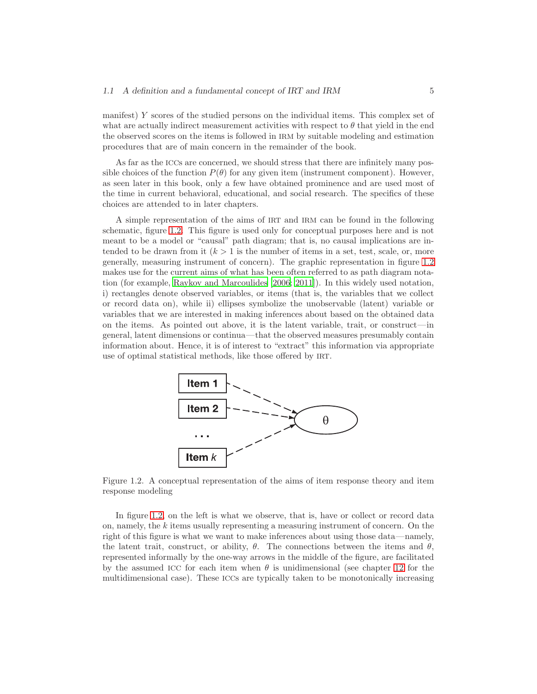manifest) Y scores of the studied persons on the individual items. This complex set of what are actually indirect measurement activities with respect to  $\theta$  that yield in the end the observed scores on the items is followed in IRM by suitable modeling and estimation procedures that are of main concern in the remainder of the book.

As far as the ICCs are concerned, we should stress that there are infinitely many possible choices of the function  $P(\theta)$  for any given item (instrument component). However, as seen later in this book, only a few have obtained prominence and are used most of the time in current behavioral, educational, and social research. The specifics of these choices are attended to in later chapters.

A simple representation of the aims of IRT and IRM can be found in the following schematic, figure 1.2. This figure is used only for conceptual purposes here and is not meant to be a model or "causal" path diagram; that is, no causal implications are intended to be drawn from it  $(k > 1)$  is the number of items in a set, test, scale, or, more generally, measuring instrument of concern). The graphic representation in figure 1.2 makes use for the current aims of what has been often referred to as path diagram notation (for example, Raykov and Marcoulides [2006; 2011]). In this widely used notation, i) rectangles denote observed variables, or items (that is, the variables that we collect or record data on), while ii) ellipses symbolize the unobservable (latent) variable or variables that we are interested in making inferences about based on the obtained data on the items. As pointed out above, it is the latent variable, trait, or construct—in general, latent dimensions or continua—that the observed measures presumably contain information about. Hence, it is of interest to "extract" this information via appropriate use of optimal statistical methods, like those offered by IRT.



Figure 1.2. A conceptual representation of the aims of item response theory and item response modeling

In figure 1.2, on the left is what we observe, that is, have or collect or record data on, namely, the  $k$  items usually representing a measuring instrument of concern. On the right of this figure is what we want to make inferences about using those data—namely, the latent trait, construct, or ability,  $\theta$ . The connections between the items and  $\theta$ , represented informally by the one-way arrows in the middle of the figure, are facilitated by the assumed ICC for each item when  $\theta$  is unidimensional (see chapter 12 for the multidimensional case). These ICCs are typically taken to be monotonically increasing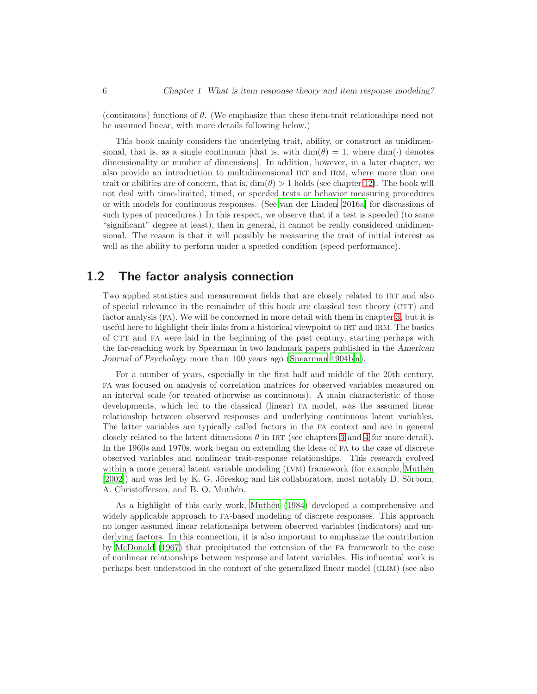(continuous) functions of  $\theta$ . (We emphasize that these item-trait relationships need not be assumed linear, with more details following below.)

This book mainly considers the underlying trait, ability, or construct as unidimensional, that is, as a single continuum [that is, with  $\dim(\theta) = 1$ , where  $\dim(\cdot)$  denotes dimensionality or number of dimensions]. In addition, however, in a later chapter, we also provide an introduction to multidimensional IRT and IRM, where more than one trait or abilities are of concern, that is,  $\dim(\theta) > 1$  holds (see chapter 12). The book will not deal with time-limited, timed, or speeded tests or behavior measuring procedures or with models for continuous responses. (See van der Linden [2016a] for discussions of such types of procedures.) In this respect, we observe that if a test is speeded (to some "significant" degree at least), then in general, it cannot be really considered unidimensional. The reason is that it will possibly be measuring the trait of initial interest as well as the ability to perform under a speeded condition (speed performance).

# 1.2 The factor analysis connection

Two applied statistics and measurement fields that are closely related to IRT and also of special relevance in the remainder of this book are classical test theory (CTT) and factor analysis (FA). We will be concerned in more detail with them in chapter 3, but it is useful here to highlight their links from a historical viewpoint to IRT and IRM. The basics of CTT and FA were laid in the beginning of the past century, starting perhaps with the far-reaching work by Spearman in two landmark papers published in the American Journal of Psychology more than 100 years ago (Spearman 1904b,a).

For a number of years, especially in the first half and middle of the 20th century, FA was focused on analysis of correlation matrices for observed variables measured on an interval scale (or treated otherwise as continuous). A main characteristic of those developments, which led to the classical (linear) FA model, was the assumed linear relationship between observed responses and underlying continuous latent variables. The latter variables are typically called factors in the FA context and are in general closely related to the latent dimensions  $\theta$  in IRT (see chapters 3 and 4 for more detail). In the 1960s and 1970s, work began on extending the ideas of FA to the case of discrete observed variables and nonlinear trait-response relationships. This research evolved within a more general latent variable modeling  $(LVM)$  framework (for example, Muthén  $[2002]$ ) and was led by K. G. Jöreskog and his collaborators, most notably D. Sörbom, A. Christofferson, and B. O. Muthén.

As a highlight of this early work, Muthén (1984) developed a comprehensive and widely applicable approach to FA-based modeling of discrete responses. This approach no longer assumed linear relationships between observed variables (indicators) and underlying factors. In this connection, it is also important to emphasize the contribution by McDonald (1967) that precipitated the extension of the FA framework to the case of nonlinear relationships between response and latent variables. His influential work is perhaps best understood in the context of the generalized linear model (GLIM) (see also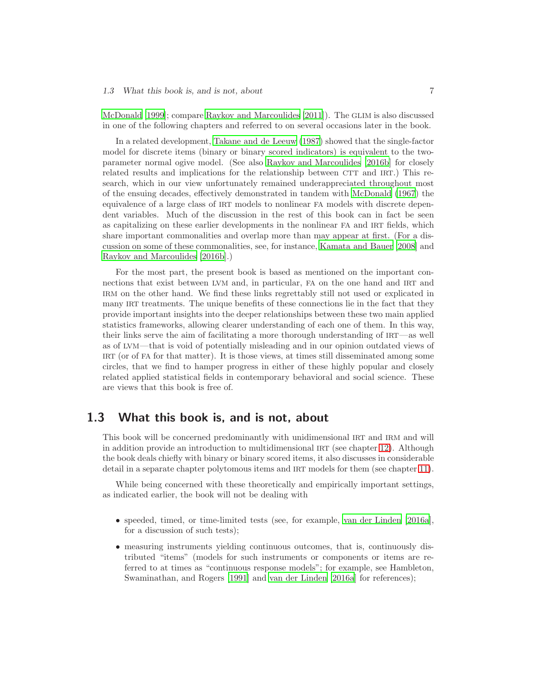McDonald [1999]; compare Raykov and Marcoulides [2011]). The GLIM is also discussed in one of the following chapters and referred to on several occasions later in the book.

In a related development, Takane and de Leeuw (1987) showed that the single-factor model for discrete items (binary or binary scored indicators) is equivalent to the twoparameter normal ogive model. (See also Raykov and Marcoulides [2016b] for closely related results and implications for the relationship between CTT and IRT.) This research, which in our view unfortunately remained underappreciated throughout most of the ensuing decades, effectively demonstrated in tandem with McDonald (1967) the equivalence of a large class of IRT models to nonlinear FA models with discrete dependent variables. Much of the discussion in the rest of this book can in fact be seen as capitalizing on these earlier developments in the nonlinear FA and IRT fields, which share important commonalities and overlap more than may appear at first. (For a discussion on some of these commonalities, see, for instance, Kamata and Bauer [2008] and Raykov and Marcoulides [2016b].)

For the most part, the present book is based as mentioned on the important connections that exist between LVM and, in particular, FA on the one hand and IRT and IRM on the other hand. We find these links regrettably still not used or explicated in many IRT treatments. The unique benefits of these connections lie in the fact that they provide important insights into the deeper relationships between these two main applied statistics frameworks, allowing clearer understanding of each one of them. In this way, their links serve the aim of facilitating a more thorough understanding of IRT—as well as of LVM—that is void of potentially misleading and in our opinion outdated views of IRT (or of FA for that matter). It is those views, at times still disseminated among some circles, that we find to hamper progress in either of these highly popular and closely related applied statistical fields in contemporary behavioral and social science. These are views that this book is free of.

### 1.3 What this book is, and is not, about

This book will be concerned predominantly with unidimensional IRT and IRM and will in addition provide an introduction to multidimensional IRT (see chapter 12). Although the book deals chiefly with binary or binary scored items, it also discusses in considerable detail in a separate chapter polytomous items and IRT models for them (see chapter 11).

While being concerned with these theoretically and empirically important settings, as indicated earlier, the book will not be dealing with

- speeded, timed, or time-limited tests (see, for example, van der Linden [2016a], for a discussion of such tests);
- measuring instruments yielding continuous outcomes, that is, continuously distributed "items" (models for such instruments or components or items are referred to at times as "continuous response models"; for example, see Hambleton, Swaminathan, and Rogers [1991] and van der Linden [2016a] for references);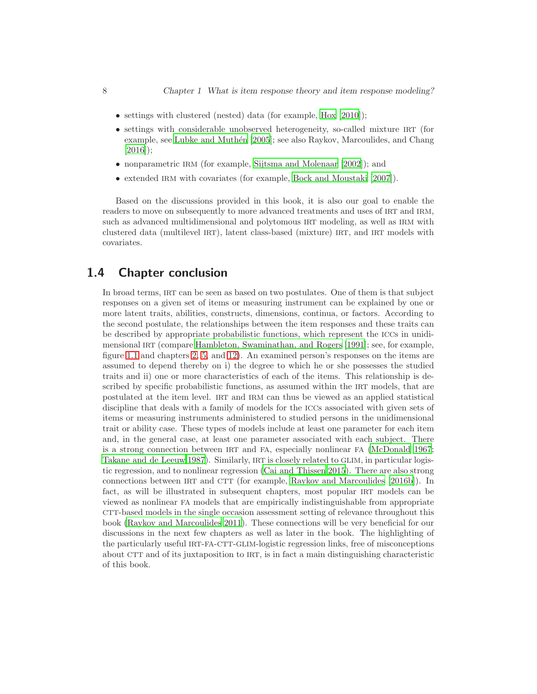- settings with clustered (nested) data (for example, Hox [2010]);
- settings with considerable unobserved heterogeneity, so-called mixture IRT (for example, see Lubke and Muthén [2005]; see also Raykov, Marcoulides, and Chang [2016]);
- nonparametric IRM (for example, Sijtsma and Molenaar [2002]); and
- extended IRM with covariates (for example, Bock and Moustaki [2007]).

Based on the discussions provided in this book, it is also our goal to enable the readers to move on subsequently to more advanced treatments and uses of IRT and IRM, such as advanced multidimensional and polytomous IRT modeling, as well as IRM with clustered data (multilevel IRT), latent class-based (mixture) IRT, and IRT models with covariates.

## 1.4 Chapter conclusion

In broad terms, IRT can be seen as based on two postulates. One of them is that subject responses on a given set of items or measuring instrument can be explained by one or more latent traits, abilities, constructs, dimensions, continua, or factors. According to the second postulate, the relationships between the item responses and these traits can be described by appropriate probabilistic functions, which represent the ICCs in unidimensional IRT (compare Hambleton, Swaminathan, and Rogers [1991]; see, for example, figure 1.1 and chapters 2, 5, and 12). An examined person's responses on the items are assumed to depend thereby on i) the degree to which he or she possesses the studied traits and ii) one or more characteristics of each of the items. This relationship is described by specific probabilistic functions, as assumed within the IRT models, that are postulated at the item level. IRT and IRM can thus be viewed as an applied statistical discipline that deals with a family of models for the ICCs associated with given sets of items or measuring instruments administered to studied persons in the unidimensional trait or ability case. These types of models include at least one parameter for each item and, in the general case, at least one parameter associated with each subject. There is a strong connection between IRT and FA, especially nonlinear FA (McDonald 1967; Takane and de Leeuw 1987). Similarly, IRT is closely related to GLIM, in particular logistic regression, and to nonlinear regression (Cai and Thissen 2015). There are also strong connections between IRT and CTT (for example, Raykov and Marcoulides [2016b]). In fact, as will be illustrated in subsequent chapters, most popular IRT models can be viewed as nonlinear FA models that are empirically indistinguishable from appropriate CTT-based models in the single occasion assessment setting of relevance throughout this book (Raykov and Marcoulides 2011). These connections will be very beneficial for our discussions in the next few chapters as well as later in the book. The highlighting of the particularly useful IRT-FA-CTT-GLIM-logistic regression links, free of misconceptions about CTT and of its juxtaposition to IRT, is in fact a main distinguishing characteristic of this book.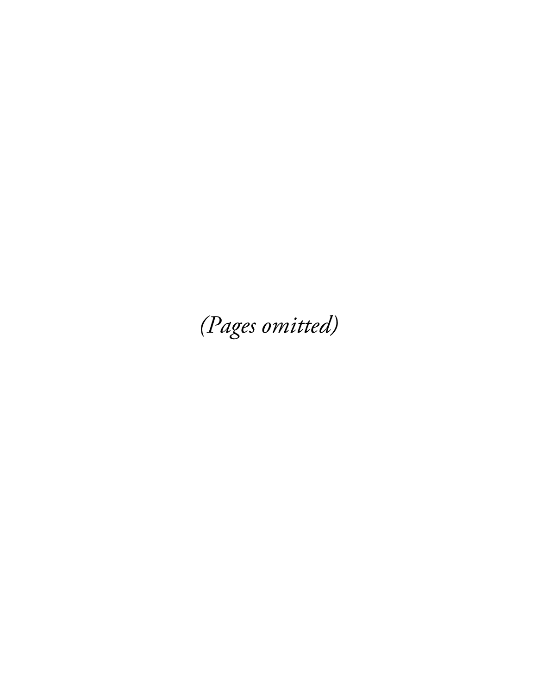(Pages omitted)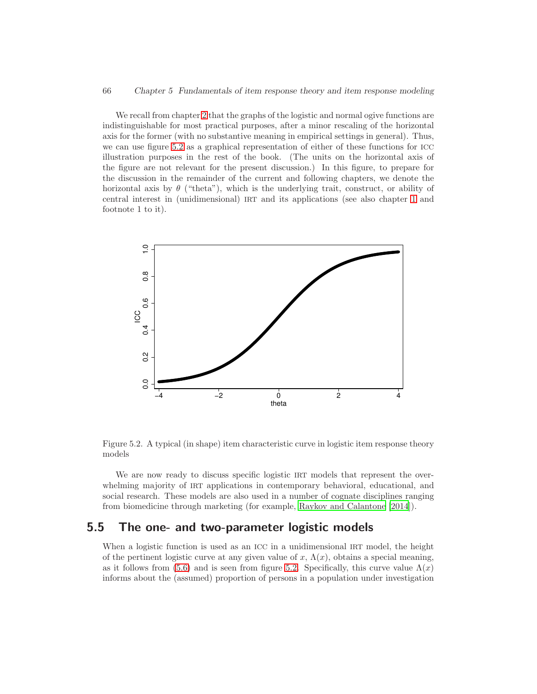#### 66 Chapter 5 Fundamentals of item response theory and item response modeling

We recall from chapter 2 that the graphs of the logistic and normal ogive functions are indistinguishable for most practical purposes, after a minor rescaling of the horizontal axis for the former (with no substantive meaning in empirical settings in general). Thus, we can use figure 5.2 as a graphical representation of either of these functions for ICC illustration purposes in the rest of the book. (The units on the horizontal axis of the figure are not relevant for the present discussion.) In this figure, to prepare for the discussion in the remainder of the current and following chapters, we denote the horizontal axis by  $\theta$  ("theta"), which is the underlying trait, construct, or ability of central interest in (unidimensional) IRT and its applications (see also chapter 1 and footnote 1 to it).



Figure 5.2. A typical (in shape) item characteristic curve in logistic item response theory models

We are now ready to discuss specific logistic IRT models that represent the overwhelming majority of IRT applications in contemporary behavioral, educational, and social research. These models are also used in a number of cognate disciplines ranging from biomedicine through marketing (for example, Raykov and Calantone [2014]).

# 5.5 The one- and two-parameter logistic models

When a logistic function is used as an ICC in a unidimensional IRT model, the height of the pertinent logistic curve at any given value of x,  $\Lambda(x)$ , obtains a special meaning, as it follows from (5.6) and is seen from figure 5.2. Specifically, this curve value  $\Lambda(x)$ informs about the (assumed) proportion of persons in a population under investigation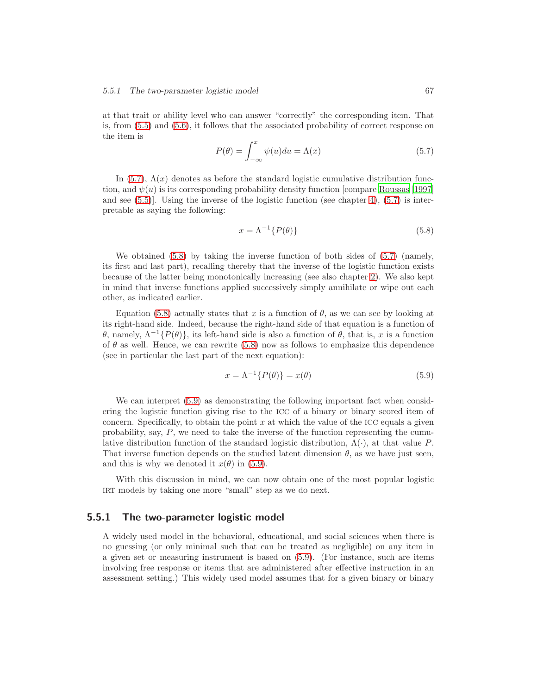#### 5.5.1 The two-parameter logistic model 67

at that trait or ability level who can answer "correctly" the corresponding item. That is, from (5.5) and (5.6), it follows that the associated probability of correct response on the item is

$$
P(\theta) = \int_{-\infty}^{x} \psi(u) du = \Lambda(x)
$$
\n(5.7)

In (5.7),  $\Lambda(x)$  denotes as before the standard logistic cumulative distribution function, and  $\psi(u)$  is its corresponding probability density function [compare Roussas [1997] and see  $(5.5)$ . Using the inverse of the logistic function (see chapter 4),  $(5.7)$  is interpretable as saying the following:

$$
x = \Lambda^{-1}\{P(\theta)\}\tag{5.8}
$$

We obtained (5.8) by taking the inverse function of both sides of (5.7) (namely, its first and last part), recalling thereby that the inverse of the logistic function exists because of the latter being monotonically increasing (see also chapter 2). We also kept in mind that inverse functions applied successively simply annihilate or wipe out each other, as indicated earlier.

Equation (5.8) actually states that x is a function of  $\theta$ , as we can see by looking at its right-hand side. Indeed, because the right-hand side of that equation is a function of <sup>θ</sup>, namely, Λ<sup>−</sup>1{P(θ)}, its left-hand side is also a function of <sup>θ</sup>, that is, <sup>x</sup> is a function of  $\theta$  as well. Hence, we can rewrite (5.8) now as follows to emphasize this dependence (see in particular the last part of the next equation):

$$
x = \Lambda^{-1}\{P(\theta)\} = x(\theta) \tag{5.9}
$$

We can interpret  $(5.9)$  as demonstrating the following important fact when considering the logistic function giving rise to the ICC of a binary or binary scored item of concern. Specifically, to obtain the point  $x$  at which the value of the ICC equals a given probability, say, P, we need to take the inverse of the function representing the cumulative distribution function of the standard logistic distribution,  $\Lambda(\cdot)$ , at that value P. That inverse function depends on the studied latent dimension  $\theta$ , as we have just seen, and this is why we denoted it  $x(\theta)$  in (5.9).

With this discussion in mind, we can now obtain one of the most popular logistic IRT models by taking one more "small" step as we do next.

#### 5.5.1 The two-parameter logistic model

A widely used model in the behavioral, educational, and social sciences when there is no guessing (or only minimal such that can be treated as negligible) on any item in a given set or measuring instrument is based on (5.9). (For instance, such are items involving free response or items that are administered after effective instruction in an assessment setting.) This widely used model assumes that for a given binary or binary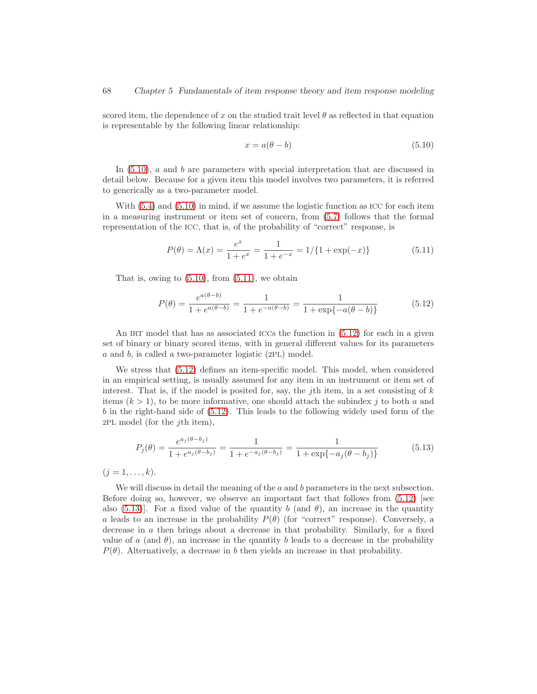scored item, the dependence of x on the studied trait level  $\theta$  as reflected in that equation is representable by the following linear relationship:

$$
x = a(\theta - b) \tag{5.10}
$$

In  $(5.10)$ , a and b are parameters with special interpretation that are discussed in detail below. Because for a given item this model involves two parameters, it is referred to generically as a two-parameter model.

With (5.4) and (5.10) in mind, if we assume the logistic function as ICC for each item in a measuring instrument or item set of concern, from (5.7) follows that the formal representation of the ICC, that is, of the probability of "correct" response, is

$$
P(\theta) = \Lambda(x) = \frac{e^x}{1 + e^x} = \frac{1}{1 + e^{-x}} = 1/\{1 + \exp(-x)\}
$$
(5.11)

That is, owing to  $(5.10)$ , from  $(5.11)$ , we obtain

$$
P(\theta) = \frac{e^{a(\theta - b)}}{1 + e^{a(\theta - b)}} = \frac{1}{1 + e^{-a(\theta - b)}} = \frac{1}{1 + \exp\{-a(\theta - b)\}}
$$
(5.12)

An IRT model that has as associated ICCs the function in (5.12) for each in a given set of binary or binary scored items, with in general different values for its parameters a and b, is called a two-parameter logistic (2PL) model.

We stress that (5.12) defines an item-specific model. This model, when considered in an empirical setting, is usually assumed for any item in an instrument or item set of interest. That is, if the model is posited for, say, the j<sup>th</sup> item, in a set consisting of  $k$ items  $(k > 1)$ , to be more informative, one should attach the subindex j to both a and  $b$  in the right-hand side of  $(5.12)$ . This leads to the following widely used form of the 2PL model (for the jth item),

$$
P_j(\theta) = \frac{e^{a_j(\theta - b_j)}}{1 + e^{a_j(\theta - b_j)}} = \frac{1}{1 + e^{-a_j(\theta - b_j)}} = \frac{1}{1 + \exp\{-a_j(\theta - b_j)\}}
$$
(5.13)

 $(j = 1, \ldots, k).$ 

We will discuss in detail the meaning of the  $a$  and  $b$  parameters in the next subsection. Before doing so, however, we observe an important fact that follows from  $(5.12)$  [see also (5.13). For a fixed value of the quantity b (and  $\theta$ ), an increase in the quantity a leads to an increase in the probability  $P(\theta)$  (for "correct" response). Conversely, a decrease in a then brings about a decrease in that probability. Similarly, for a fixed value of a (and  $\theta$ ), an increase in the quantity b leads to a decrease in the probability  $P(\theta)$ . Alternatively, a decrease in b then yields an increase in that probability.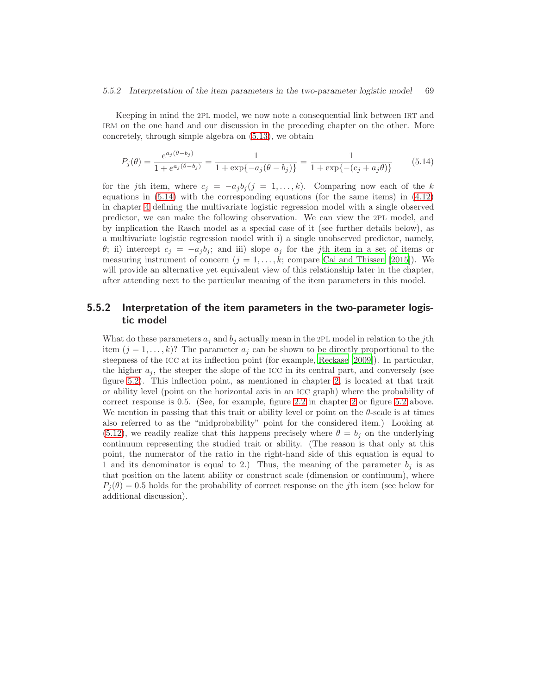Keeping in mind the 2PL model, we now note a consequential link between IRT and IRM on the one hand and our discussion in the preceding chapter on the other. More concretely, through simple algebra on (5.13), we obtain

$$
P_j(\theta) = \frac{e^{a_j(\theta - b_j)}}{1 + e^{a_j(\theta - b_j)}} = \frac{1}{1 + \exp\{-a_j(\theta - b_j)\}} = \frac{1}{1 + \exp\{-(c_j + a_j\theta)\}}\tag{5.14}
$$

for the jth item, where  $c_j = -a_j b_j (j = 1, \ldots, k)$ . Comparing now each of the k equations in (5.14) with the corresponding equations (for the same items) in (4.12) in chapter 4 defining the multivariate logistic regression model with a single observed predictor, we can make the following observation. We can view the 2PL model, and by implication the Rasch model as a special case of it (see further details below), as a multivariate logistic regression model with i) a single unobserved predictor, namely,  $θ$ ; ii) intercept  $c_j = -a_j b_j$ ; and iii) slope  $a_j$  for the j<sup>th</sup> item in a set of items or measuring instrument of concern  $(j = 1, \ldots, k;$  compare Cai and Thissen [2015]). We will provide an alternative yet equivalent view of this relationship later in the chapter, after attending next to the particular meaning of the item parameters in this model.

### 5.5.2 Interpretation of the item parameters in the two-parameter logistic model

What do these parameters  $a_i$  and  $b_i$  actually mean in the 2PL model in relation to the *j*th item  $(j = 1, \ldots, k)$ ? The parameter  $a_j$  can be shown to be directly proportional to the steepness of the ICC at its inflection point (for example, Reckase [2009]). In particular, the higher  $a_j$ , the steeper the slope of the ICC in its central part, and conversely (see figure 5.2). This inflection point, as mentioned in chapter 2, is located at that trait or ability level (point on the horizontal axis in an ICC graph) where the probability of correct response is 0.5. (See, for example, figure 2.2 in chapter 2 or figure 5.2 above. We mention in passing that this trait or ability level or point on the  $\theta$ -scale is at times also referred to as the "midprobability" point for the considered item.) Looking at (5.12), we readily realize that this happens precisely where  $\theta = b_j$  on the underlying continuum representing the studied trait or ability. (The reason is that only at this point, the numerator of the ratio in the right-hand side of this equation is equal to 1 and its denominator is equal to 2.) Thus, the meaning of the parameter  $b_i$  is as that position on the latent ability or construct scale (dimension or continuum), where  $P_i(\theta) = 0.5$  holds for the probability of correct response on the *j*th item (see below for additional discussion).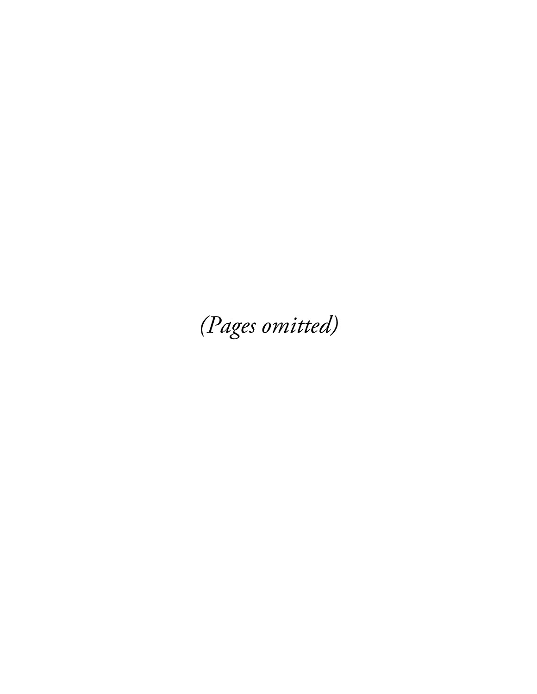(Pages omitted)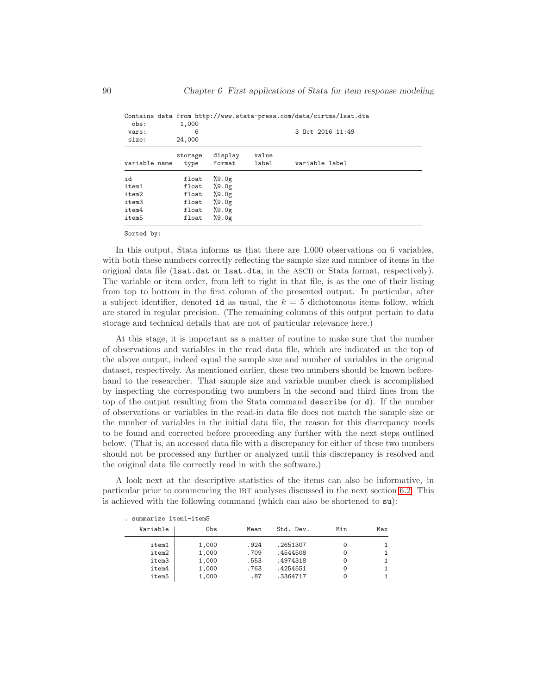| 1,000   |                  |       |                  |
|---------|------------------|-------|------------------|
| 6       |                  |       | 3 Oct 2016 11:49 |
| 24,000  |                  |       |                  |
| storage | display          | value |                  |
| type    | format           | label | variable label   |
| float   | %9.0g            |       |                  |
| float   | %9.0g            |       |                  |
| float   | $\frac{9.0g}{2}$ |       |                  |
| float   | %9.0g            |       |                  |
| float   | %9.0g            |       |                  |
| float   | %9.0g            |       |                  |
|         |                  |       |                  |

Contains data from http://www.stata-press.com/data/cirtms/lsat.dta

Sorted by:

In this output, Stata informs us that there are 1,000 observations on 6 variables, with both these numbers correctly reflecting the sample size and number of items in the original data file (lsat.dat or lsat.dta, in the ASCII or Stata format, respectively). The variable or item order, from left to right in that file, is as the one of their listing from top to bottom in the first column of the presented output. In particular, after a subject identifier, denoted id as usual, the  $k = 5$  dichotomous items follow, which are stored in regular precision. (The remaining columns of this output pertain to data storage and technical details that are not of particular relevance here.)

At this stage, it is important as a matter of routine to make sure that the number of observations and variables in the read data file, which are indicated at the top of the above output, indeed equal the sample size and number of variables in the original dataset, respectively. As mentioned earlier, these two numbers should be known beforehand to the researcher. That sample size and variable number check is accomplished by inspecting the corresponding two numbers in the second and third lines from the top of the output resulting from the Stata command describe (or d). If the number of observations or variables in the read-in data file does not match the sample size or the number of variables in the initial data file, the reason for this discrepancy needs to be found and corrected before proceeding any further with the next steps outlined below. (That is, an accessed data file with a discrepancy for either of these two numbers should not be processed any further or analyzed until this discrepancy is resolved and the original data file correctly read in with the software.)

A look next at the descriptive statistics of the items can also be informative, in particular prior to commencing the IRT analyses discussed in the next section 6.2. This is achieved with the following command (which can also be shortened to su):

| summarize item1-item5 |       |      |           |     |     |
|-----------------------|-------|------|-----------|-----|-----|
| Variable              | Obs   | Mean | Std. Dev. | Min | Max |
| item1                 | 1,000 | .924 | .2651307  | 0   |     |
| item2                 | 1,000 | .709 | .4544508  | 0   |     |
| item3                 | 1,000 | .553 | .4974318  | 0   |     |
| item4                 | 1,000 | .763 | .4254551  | 0   |     |
| item5                 | 1,000 | .87  | .3364717  |     |     |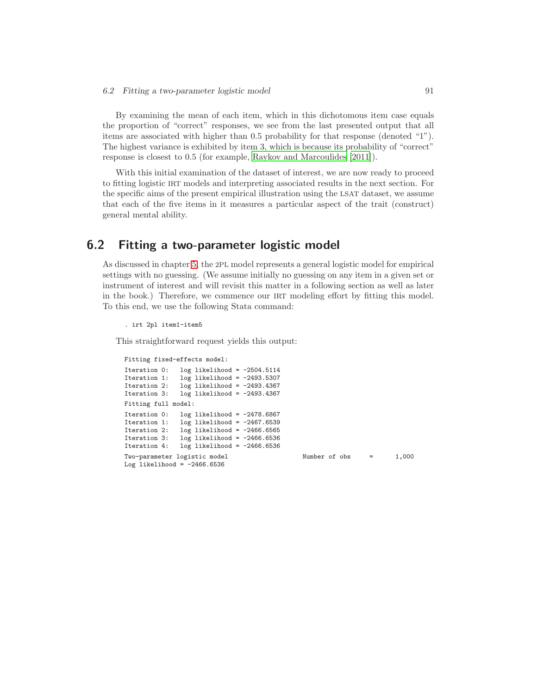By examining the mean of each item, which in this dichotomous item case equals the proportion of "correct" responses, we see from the last presented output that all items are associated with higher than 0.5 probability for that response (denoted "1"). The highest variance is exhibited by item 3, which is because its probability of "correct" response is closest to 0.5 (for example, Raykov and Marcoulides [2011]).

With this initial examination of the dataset of interest, we are now ready to proceed to fitting logistic IRT models and interpreting associated results in the next section. For the specific aims of the present empirical illustration using the LSAT dataset, we assume that each of the five items in it measures a particular aspect of the trait (construct) general mental ability.

# 6.2 Fitting a two-parameter logistic model

As discussed in chapter 5, the 2PL model represents a general logistic model for empirical settings with no guessing. (We assume initially no guessing on any item in a given set or instrument of interest and will revisit this matter in a following section as well as later in the book.) Therefore, we commence our IRT modeling effort by fitting this model. To this end, we use the following Stata command:

```
. irt 2pl item1-item5
```
This straightforward request yields this output:

```
Fitting fixed-effects model:
```

```
Iteration 0: log likelihood = -2504.5114<br>Iteration 1: log likelihood = -2493.5307log likelihood = -2493.5307
Iteration 2: log likelihood = -2493.4367
Iteration 3: log likelihood = -2493.4367
Fitting full model:
Iteration 0: log likelihood = -2478.6867
Iteration 1: log likelihood = -2467.6539
Iteration 2: log likelihood = -2466.6565
Iteration 3: log likelihood = -2466.6536
Iteration 4: log likelihood = -2466.6536
Two-parameter logistic model Number of obs = 1,000
Log likelihood = -2466.6536
```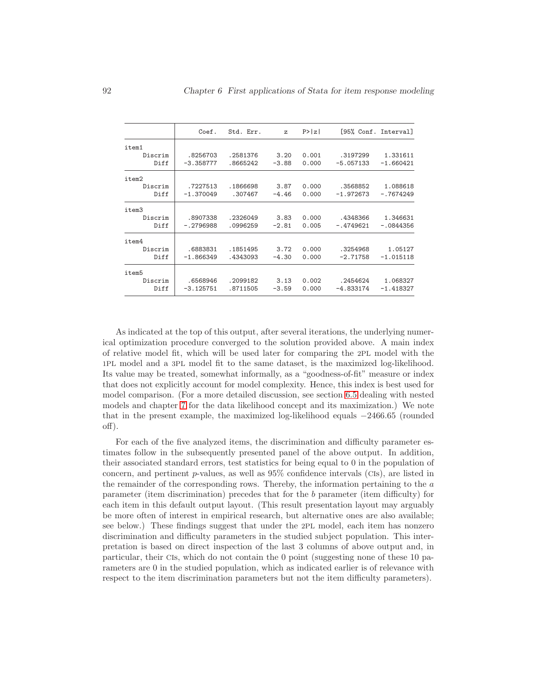|         | Coef.       | Std. Err. | z       | P >  Z |             | [95% Conf. Interval] |
|---------|-------------|-----------|---------|--------|-------------|----------------------|
| item1   |             |           |         |        |             |                      |
| Discrim | .8256703    | .2581376  | 3.20    | 0.001  | .3197299    | 1.331611             |
| Diff    | $-3.358777$ | .8665242  | $-3.88$ | 0.000  | $-5.057133$ | $-1.660421$          |
| item2   |             |           |         |        |             |                      |
| Discrim | .7227513    | .1866698  | 3.87    | 0.000  | .3568852    | 1.088618             |
| Diff    | $-1.370049$ | .307467   | $-4.46$ | 0.000  | $-1.972673$ | $-.7674249$          |
| item3   |             |           |         |        |             |                      |
| Discrim | .8907338    | .2326049  | 3.83    | 0.000  | .4348366    | 1.346631             |
| Diff    | $-.2796988$ | .0996259  | $-2.81$ | 0.005  | $-.4749621$ | $-.0844356$          |
| item4   |             |           |         |        |             |                      |
| Discrim | .6883831    | .1851495  | 3.72    | 0.000  | .3254968    | 1.05127              |
| Diff    | $-1.866349$ | .4343093  | $-4.30$ | 0.000  | $-2.71758$  | $-1.015118$          |
| item5   |             |           |         |        |             |                      |
| Discrim | .6568946    | .2099182  | 3.13    | 0.002  | .2454624    | 1.068327             |
| Diff    | $-3.125751$ | .8711505  | $-3.59$ | 0.000  | -4.833174   | $-1.418327$          |

As indicated at the top of this output, after several iterations, the underlying numerical optimization procedure converged to the solution provided above. A main index of relative model fit, which will be used later for comparing the 2PL model with the 1PL model and a 3PL model fit to the same dataset, is the maximized log-likelihood. Its value may be treated, somewhat informally, as a "goodness-of-fit" measure or index that does not explicitly account for model complexity. Hence, this index is best used for model comparison. (For a more detailed discussion, see section 6.5 dealing with nested models and chapter 7 for the data likelihood concept and its maximization.) We note that in the present example, the maximized log-likelihood equals −2466.65 (rounded off).

For each of the five analyzed items, the discrimination and difficulty parameter estimates follow in the subsequently presented panel of the above output. In addition, their associated standard errors, test statistics for being equal to 0 in the population of concern, and pertinent  $p$ -values, as well as  $95\%$  confidence intervals (CIs), are listed in the remainder of the corresponding rows. Thereby, the information pertaining to the  $a$ parameter (item discrimination) precedes that for the b parameter (item difficulty) for each item in this default output layout. (This result presentation layout may arguably be more often of interest in empirical research, but alternative ones are also available; see below.) These findings suggest that under the 2PL model, each item has nonzero discrimination and difficulty parameters in the studied subject population. This interpretation is based on direct inspection of the last 3 columns of above output and, in particular, their CIs, which do not contain the 0 point (suggesting none of these 10 parameters are 0 in the studied population, which as indicated earlier is of relevance with respect to the item discrimination parameters but not the item difficulty parameters).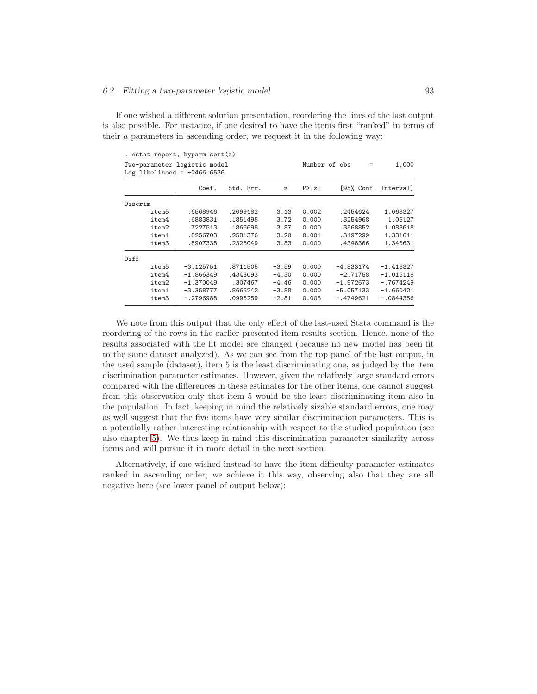If one wished a different solution presentation, reordering the lines of the last output is also possible. For instance, if one desired to have the items first "ranked" in terms of their a parameters in ascending order, we request it in the following way:

|         |       | . estat report, byparm sort(a)                                |           |               |        |             |  |                      |
|---------|-------|---------------------------------------------------------------|-----------|---------------|--------|-------------|--|----------------------|
|         |       | Two-parameter logistic model<br>Log likelihood = $-2466.6536$ |           | Number of obs | $=$    | 1,000       |  |                      |
|         |       | Coef.                                                         | Std. Err. | $\mathbf{z}$  | P >  z |             |  | [95% Conf. Interval] |
| Discrim |       |                                                               |           |               |        |             |  |                      |
|         | item5 | .6568946                                                      | .2099182  | 3.13          | 0.002  | .2454624    |  | 1.068327             |
|         | item4 | .6883831                                                      | .1851495  | 3.72          | 0.000  | .3254968    |  | 1.05127              |
|         | item2 | .7227513                                                      | .1866698  | 3.87          | 0.000  | .3568852    |  | 1.088618             |
|         | item1 | .8256703                                                      | .2581376  | 3.20          | 0.001  | .3197299    |  | 1.331611             |
|         | item3 | .8907338                                                      | .2326049  | 3.83          | 0.000  | .4348366    |  | 1.346631             |
| Diff    |       |                                                               |           |               |        |             |  |                      |
|         | item5 | $-3.125751$                                                   | .8711505  | $-3.59$       | 0.000  | $-4.833174$ |  | $-1.418327$          |
|         | item4 | $-1.866349$                                                   | .4343093  | $-4.30$       | 0.000  | $-2.71758$  |  | $-1.015118$          |
|         | item2 | $-1.370049$                                                   | .307467   | $-4.46$       | 0.000  | $-1.972673$ |  | $-.7674249$          |
|         | item1 | $-3.358777$                                                   | .8665242  | $-3.88$       | 0.000  | $-5.057133$ |  | $-1.660421$          |
|         | item3 | $-.2796988$                                                   | .0996259  | $-2.81$       | 0.005  | $-.4749621$ |  | $-.0844356$          |

We note from this output that the only effect of the last-used Stata command is the reordering of the rows in the earlier presented item results section. Hence, none of the results associated with the fit model are changed (because no new model has been fit to the same dataset analyzed). As we can see from the top panel of the last output, in the used sample (dataset), item 5 is the least discriminating one, as judged by the item discrimination parameter estimates. However, given the relatively large standard errors compared with the differences in these estimates for the other items, one cannot suggest from this observation only that item 5 would be the least discriminating item also in the population. In fact, keeping in mind the relatively sizable standard errors, one may as well suggest that the five items have very similar discrimination parameters. This is a potentially rather interesting relationship with respect to the studied population (see also chapter 5). We thus keep in mind this discrimination parameter similarity across items and will pursue it in more detail in the next section.

Alternatively, if one wished instead to have the item difficulty parameter estimates ranked in ascending order, we achieve it this way, observing also that they are all negative here (see lower panel of output below):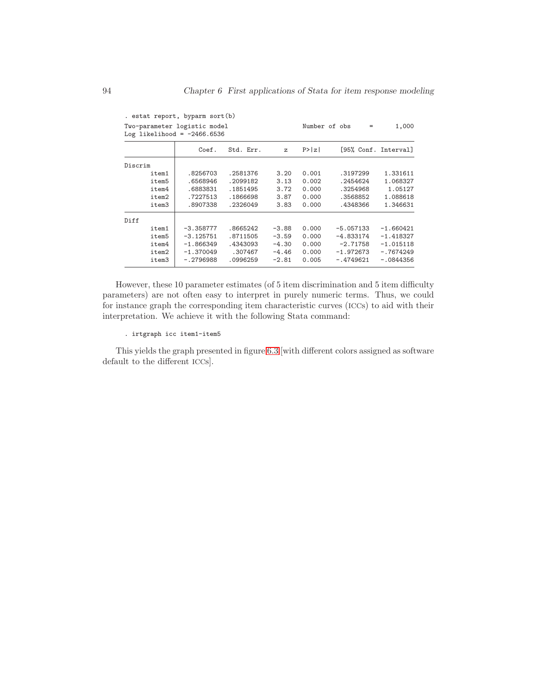| . estat report, byparm sort(b)                                |       |             |           |              |       |                      |             |  |
|---------------------------------------------------------------|-------|-------------|-----------|--------------|-------|----------------------|-------------|--|
| Two-parameter logistic model<br>Log likelihood = $-2466.6536$ |       |             |           |              |       | Number of obs<br>$=$ | 1,000       |  |
|                                                               |       | Coef.       | Std. Err. | $\mathbf{z}$ | P>  z | [95% Conf. Interval] |             |  |
| Discrim                                                       |       |             |           |              |       |                      |             |  |
|                                                               | item1 | .8256703    | .2581376  | 3.20         | 0.001 | .3197299             | 1.331611    |  |
|                                                               | item5 | .6568946    | .2099182  | 3.13         | 0.002 | .2454624             | 1.068327    |  |
|                                                               | item4 | .6883831    | .1851495  | 3.72         | 0.000 | .3254968             | 1.05127     |  |
|                                                               | item2 | .7227513    | .1866698  | 3.87         | 0.000 | .3568852             | 1.088618    |  |
|                                                               | item3 | .8907338    | .2326049  | 3.83         | 0.000 | .4348366             | 1.346631    |  |
| Diff                                                          |       |             |           |              |       |                      |             |  |
|                                                               | item1 | $-3.358777$ | .8665242  | $-3.88$      | 0.000 | $-5.057133$          | $-1.660421$ |  |
|                                                               | item5 | $-3.125751$ | .8711505  | $-3.59$      | 0.000 | $-4.833174$          | $-1.418327$ |  |
|                                                               | item4 | $-1.866349$ | .4343093  | $-4.30$      | 0.000 | $-2.71758$           | $-1.015118$ |  |
|                                                               | item2 | $-1.370049$ | .307467   | $-4.46$      | 0.000 | $-1.972673$          | $-.7674249$ |  |
|                                                               | item3 | $-.2796988$ | .0996259  | $-2.81$      | 0.005 | $-.4749621$          | $-.0844356$ |  |

However, these 10 parameter estimates (of 5 item discrimination and 5 item difficulty parameters) are not often easy to interpret in purely numeric terms. Thus, we could for instance graph the corresponding item characteristic curves (ICCs) to aid with their interpretation. We achieve it with the following Stata command:

. irtgraph icc item1-item5

This yields the graph presented in figure 6.3 [with different colors assigned as software default to the different ICCs].